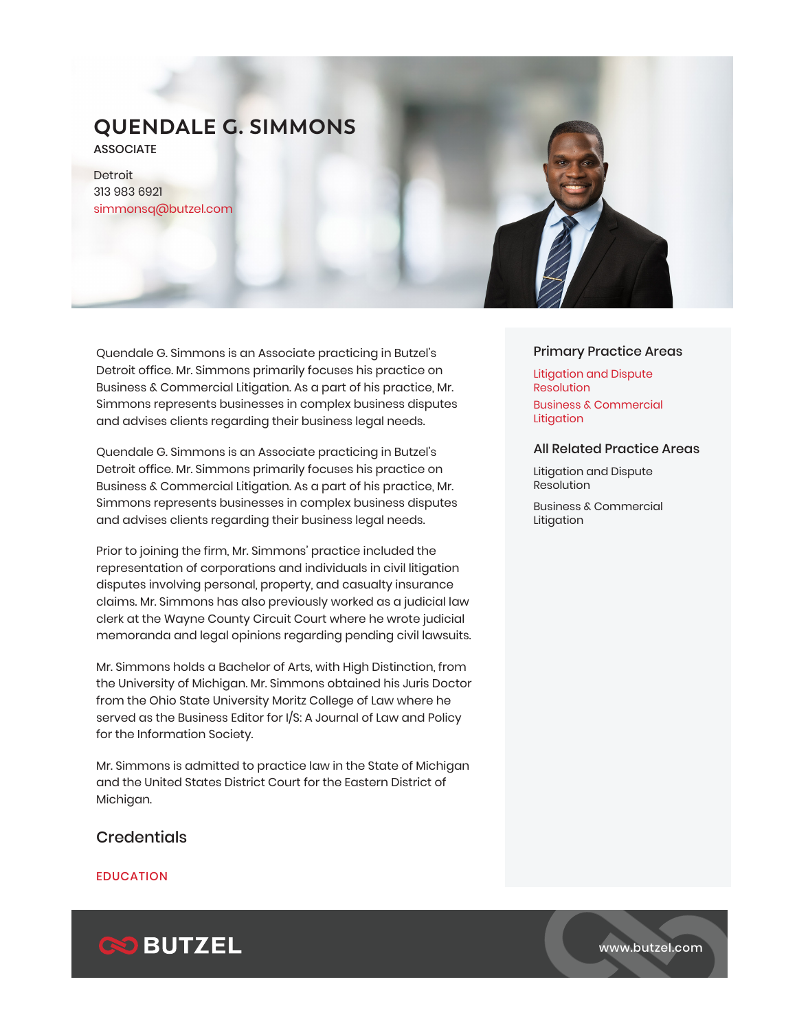# **QUENDALE G. SIMMONS**

**ASSOCIATE** 

Detroit 313 983 6921 simmonsq@butzel.com

Quendale G. Simmons is an Associate practicing in Butzel's Detroit office. Mr. Simmons primarily focuses his practice on Business & Commercial Litigation. As a part of his practice, Mr. Simmons represents businesses in complex business disputes and advises clients regarding their business legal needs.

Quendale G. Simmons is an Associate practicing in Butzel's Detroit office. Mr. Simmons primarily focuses his practice on Business & Commercial Litigation. As a part of his practice, Mr. Simmons represents businesses in complex business disputes and advises clients regarding their business legal needs.

Prior to joining the firm, Mr. Simmons' practice included the representation of corporations and individuals in civil litigation disputes involving personal, property, and casualty insurance claims. Mr. Simmons has also previously worked as a judicial law clerk at the Wayne County Circuit Court where he wrote judicial memoranda and legal opinions regarding pending civil lawsuits.

Mr. Simmons holds a Bachelor of Arts, with High Distinction, from the University of Michigan. Mr. Simmons obtained his Juris Doctor from the Ohio State University Moritz College of Law where he served as the Business Editor for I/S: A Journal of Law and Policy for the Information Society.

Mr. Simmons is admitted to practice law in the State of Michigan and the United States District Court for the Eastern District of Michigan.

## **Credentials**

### EDUCATION



### Primary Practice Areas

Litigation and Dispute Resolution Business & Commercial Litigation

#### All Related Practice Areas

Litigation and Dispute Resolution

Business & Commercial Litigation



www.butzel.com